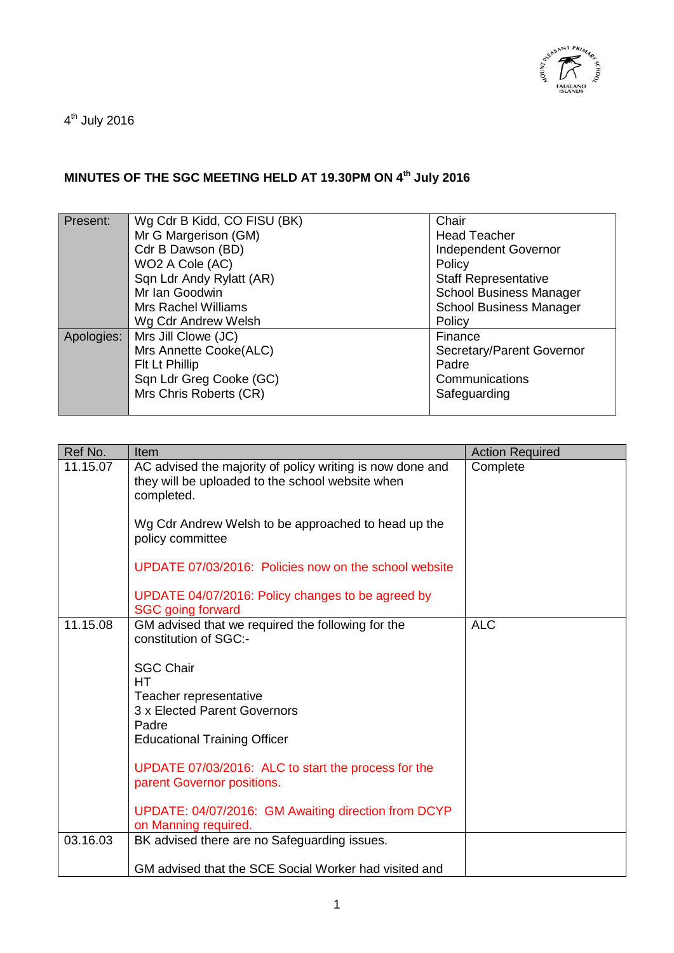

4<sup>th</sup> July 2016

## **MINUTES OF THE SGC MEETING HELD AT 19.30PM ON 4 th July 2016**

| Present:   | Wg Cdr B Kidd, CO FISU (BK) | Chair                          |
|------------|-----------------------------|--------------------------------|
|            | Mr G Margerison (GM)        | <b>Head Teacher</b>            |
|            | Cdr B Dawson (BD)           | Independent Governor           |
|            | WO2 A Cole (AC)             | Policy                         |
|            | Sqn Ldr Andy Rylatt (AR)    | <b>Staff Representative</b>    |
|            | Mr Ian Goodwin              | <b>School Business Manager</b> |
|            | <b>Mrs Rachel Williams</b>  | <b>School Business Manager</b> |
|            | Wg Cdr Andrew Welsh         | Policy                         |
| Apologies: | Mrs Jill Clowe (JC)         | Finance                        |
|            | Mrs Annette Cooke(ALC)      | Secretary/Parent Governor      |
|            | Flt Lt Phillip              | Padre                          |
|            | Sqn Ldr Greg Cooke (GC)     | Communications                 |
|            | Mrs Chris Roberts (CR)      | Safeguarding                   |
|            |                             |                                |

| Ref No.  | Item                                                                                                                        | <b>Action Required</b> |
|----------|-----------------------------------------------------------------------------------------------------------------------------|------------------------|
| 11.15.07 | AC advised the majority of policy writing is now done and<br>they will be uploaded to the school website when<br>completed. | Complete               |
|          | Wg Cdr Andrew Welsh to be approached to head up the<br>policy committee                                                     |                        |
|          | UPDATE 07/03/2016: Policies now on the school website                                                                       |                        |
|          | UPDATE 04/07/2016: Policy changes to be agreed by<br><b>SGC going forward</b>                                               |                        |
| 11.15.08 | GM advised that we required the following for the<br>constitution of SGC:-                                                  | <b>ALC</b>             |
|          | <b>SGC Chair</b><br><b>HT</b>                                                                                               |                        |
|          | Teacher representative                                                                                                      |                        |
|          | 3 x Elected Parent Governors<br>Padre                                                                                       |                        |
|          | <b>Educational Training Officer</b>                                                                                         |                        |
|          | UPDATE 07/03/2016: ALC to start the process for the<br>parent Governor positions.                                           |                        |
|          | UPDATE: 04/07/2016: GM Awaiting direction from DCYP<br>on Manning required.                                                 |                        |
| 03.16.03 | BK advised there are no Safeguarding issues.                                                                                |                        |
|          | GM advised that the SCE Social Worker had visited and                                                                       |                        |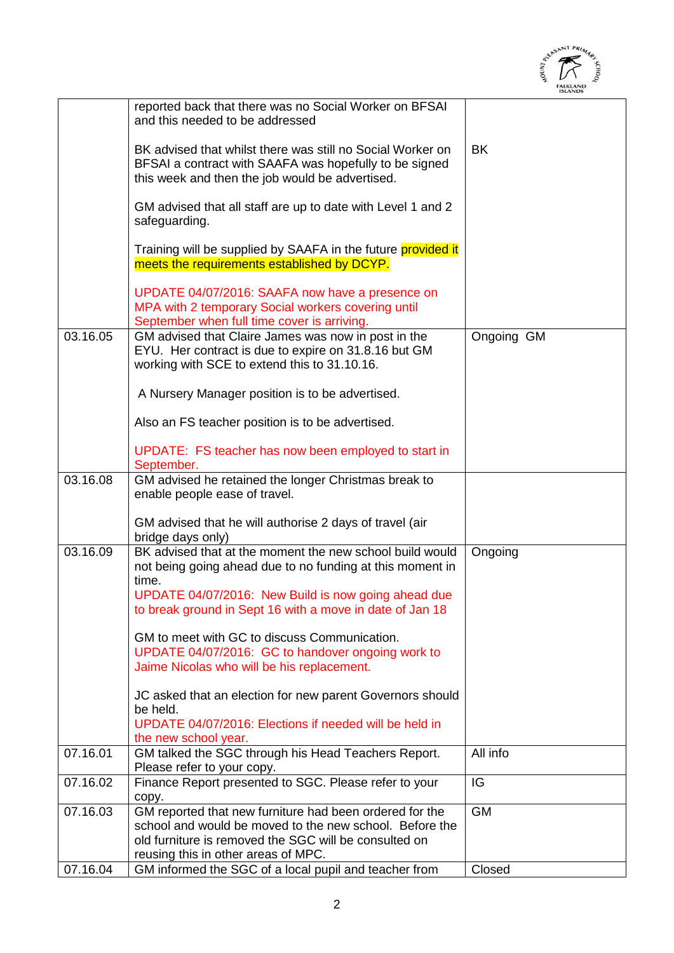

|          |                                                                                                                                                                                       | <b>ISLANDS</b> |
|----------|---------------------------------------------------------------------------------------------------------------------------------------------------------------------------------------|----------------|
|          | reported back that there was no Social Worker on BFSAI<br>and this needed to be addressed                                                                                             |                |
|          | BK advised that whilst there was still no Social Worker on<br>BFSAI a contract with SAAFA was hopefully to be signed<br>this week and then the job would be advertised.               | <b>BK</b>      |
|          | GM advised that all staff are up to date with Level 1 and 2<br>safeguarding.                                                                                                          |                |
|          | Training will be supplied by SAAFA in the future provided it<br>meets the requirements established by DCYP.                                                                           |                |
|          | UPDATE 04/07/2016: SAAFA now have a presence on<br>MPA with 2 temporary Social workers covering until<br>September when full time cover is arriving.                                  |                |
| 03.16.05 | GM advised that Claire James was now in post in the<br>EYU. Her contract is due to expire on 31.8.16 but GM<br>working with SCE to extend this to 31.10.16.                           | Ongoing GM     |
|          | A Nursery Manager position is to be advertised.                                                                                                                                       |                |
|          | Also an FS teacher position is to be advertised.                                                                                                                                      |                |
|          | UPDATE: FS teacher has now been employed to start in<br>September.                                                                                                                    |                |
| 03.16.08 | GM advised he retained the longer Christmas break to<br>enable people ease of travel.                                                                                                 |                |
|          | GM advised that he will authorise 2 days of travel (air<br>bridge days only)                                                                                                          |                |
| 03.16.09 | BK advised that at the moment the new school build would<br>not being going ahead due to no funding at this moment in<br>time.<br>UPDATE 04/07/2016: New Build is now going ahead due | Ongoing        |
|          | to break ground in Sept 16 with a move in date of Jan 18                                                                                                                              |                |
|          | GM to meet with GC to discuss Communication.<br>UPDATE 04/07/2016: GC to handover ongoing work to<br>Jaime Nicolas who will be his replacement.                                       |                |
|          | JC asked that an election for new parent Governors should<br>be held.<br>UPDATE 04/07/2016: Elections if needed will be held in                                                       |                |
|          | the new school year.                                                                                                                                                                  |                |
| 07.16.01 | GM talked the SGC through his Head Teachers Report.<br>Please refer to your copy.                                                                                                     | All info       |
| 07.16.02 | Finance Report presented to SGC. Please refer to your<br>copy.                                                                                                                        | IG             |
| 07.16.03 | GM reported that new furniture had been ordered for the                                                                                                                               | <b>GM</b>      |
|          | school and would be moved to the new school. Before the<br>old furniture is removed the SGC will be consulted on                                                                      |                |
| 07.16.04 | reusing this in other areas of MPC.<br>GM informed the SGC of a local pupil and teacher from                                                                                          | Closed         |
|          |                                                                                                                                                                                       |                |